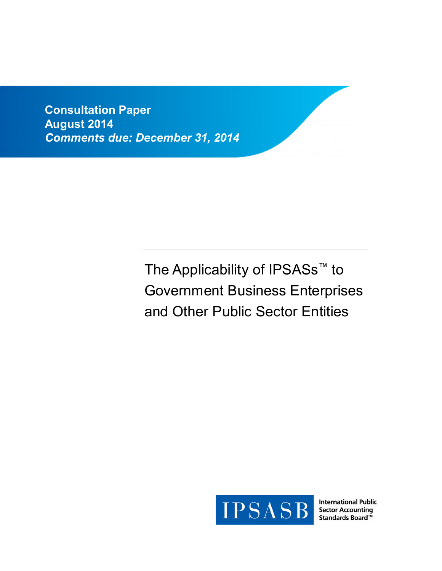**Consultation Paper August 2014** *Comments due: December 31, 2014*

> The Applicability of IPSASs<sup>™</sup> to Government Business Enterprises and Other Public Sector Entities



**International Public Sector Accounting**  $T<sub>2</sub>$   $T<sub>2</sub>$   $T<sub>3</sub>$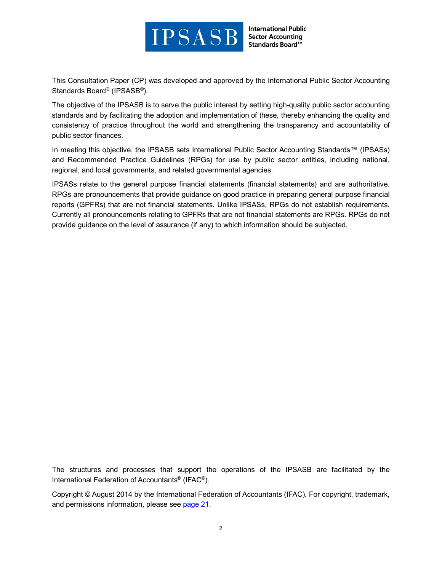

This Consultation Paper (CP) was developed and approved by the International Public Sector Accounting Standards Board® (IPSASB®).

The objective of the IPSASB is to serve the public interest by setting high-quality public sector accounting standards and by facilitating the adoption and implementation of these, thereby enhancing the quality and consistency of practice throughout the world and strengthening the transparency and accountability of public sector finances.

In meeting this objective, the IPSASB sets International Public Sector Accounting Standards™ (IPSASs) and Recommended Practice Guidelines (RPGs) for use by public sector entities, including national, regional, and local governments, and related governmental agencies.

IPSASs relate to the general purpose financial statements (financial statements) and are authoritative. RPGs are pronouncements that provide guidance on good practice in preparing general purpose financial reports (GPFRs) that are not financial statements. Unlike IPSASs, RPGs do not establish requirements. Currently all pronouncements relating to GPFRs that are not financial statements are RPGs. RPGs do not provide guidance on the level of assurance (if any) to which information should be subjected.

The structures and processes that support the operations of the IPSASB are facilitated by the International Federation of Accountants® (IFAC®).

Copyright © August 2014 by the International Federation of Accountants (IFAC). For copyright, trademark, and permissions information, please see [page 21.](#page-20-0)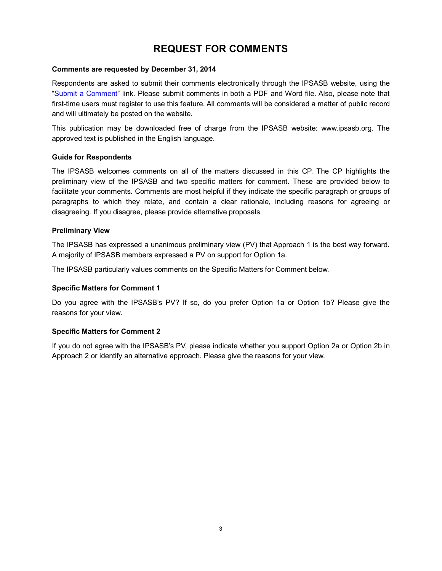# **REQUEST FOR COMMENTS**

#### **Comments are requested by December 31, 2014**

Respondents are asked to submit their comments electronically through the IPSASB website, using the ["Submit a Comment"](http://www.ifac.org/publications-resources/recommended-practice-guideline-reporting-long-term-sustainability-public-sect) link. Please submit comments in both a PDF and Word file. Also, please note that first-time users must register to use this feature. All comments will be considered a matter of public record and will ultimately be posted on the website.

This publication may be downloaded free of charge from the IPSASB website: www.ipsasb.org. The approved text is published in the English language.

### **Guide for Respondents**

The IPSASB welcomes comments on all of the matters discussed in this CP. The CP highlights the preliminary view of the IPSASB and two specific matters for comment. These are provided below to facilitate your comments. Comments are most helpful if they indicate the specific paragraph or groups of paragraphs to which they relate, and contain a clear rationale, including reasons for agreeing or disagreeing. If you disagree, please provide alternative proposals.

### **Preliminary View**

The IPSASB has expressed a unanimous preliminary view (PV) that Approach 1 is the best way forward. A majority of IPSASB members expressed a PV on support for Option 1a.

The IPSASB particularly values comments on the Specific Matters for Comment below.

#### **Specific Matters for Comment 1**

Do you agree with the IPSASB's PV? If so, do you prefer Option 1a or Option 1b? Please give the reasons for your view.

#### **Specific Matters for Comment 2**

If you do not agree with the IPSASB's PV, please indicate whether you support Option 2a or Option 2b in Approach 2 or identify an alternative approach. Please give the reasons for your view.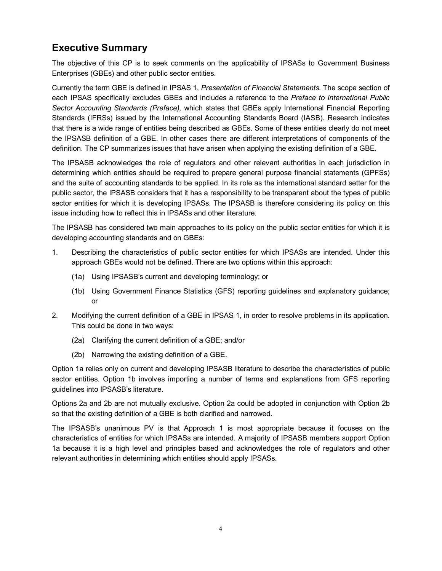# **Executive Summary**

The objective of this CP is to seek comments on the applicability of IPSASs to Government Business Enterprises (GBEs) and other public sector entities.

Currently the term GBE is defined in IPSAS 1, *Presentation of Financial Statements.* The scope section of each IPSAS specifically excludes GBEs and includes a reference to the *Preface to International Public Sector Accounting Standards (Preface),* which states that GBEs apply International Financial Reporting Standards (IFRSs) issued by the International Accounting Standards Board (IASB). Research indicates that there is a wide range of entities being described as GBEs. Some of these entities clearly do not meet the IPSASB definition of a GBE. In other cases there are different interpretations of components of the definition. The CP summarizes issues that have arisen when applying the existing definition of a GBE.

The IPSASB acknowledges the role of regulators and other relevant authorities in each jurisdiction in determining which entities should be required to prepare general purpose financial statements (GPFSs) and the suite of accounting standards to be applied. In its role as the international standard setter for the public sector, the IPSASB considers that it has a responsibility to be transparent about the types of public sector entities for which it is developing IPSASs. The IPSASB is therefore considering its policy on this issue including how to reflect this in IPSASs and other literature.

The IPSASB has considered two main approaches to its policy on the public sector entities for which it is developing accounting standards and on GBEs:

- 1. Describing the characteristics of public sector entities for which IPSASs are intended. Under this approach GBEs would not be defined. There are two options within this approach:
	- (1a) Using IPSASB's current and developing terminology; or
	- (1b) Using Government Finance Statistics (GFS) reporting guidelines and explanatory guidance; or
- 2. Modifying the current definition of a GBE in IPSAS 1, in order to resolve problems in its application. This could be done in two ways:
	- (2a) Clarifying the current definition of a GBE; and/or
	- (2b) Narrowing the existing definition of a GBE.

Option 1a relies only on current and developing IPSASB literature to describe the characteristics of public sector entities. Option 1b involves importing a number of terms and explanations from GFS reporting guidelines into IPSASB's literature.

Options 2a and 2b are not mutually exclusive. Option 2a could be adopted in conjunction with Option 2b so that the existing definition of a GBE is both clarified and narrowed.

The IPSASB's unanimous PV is that Approach 1 is most appropriate because it focuses on the characteristics of entities for which IPSASs are intended. A majority of IPSASB members support Option 1a because it is a high level and principles based and acknowledges the role of regulators and other relevant authorities in determining which entities should apply IPSASs.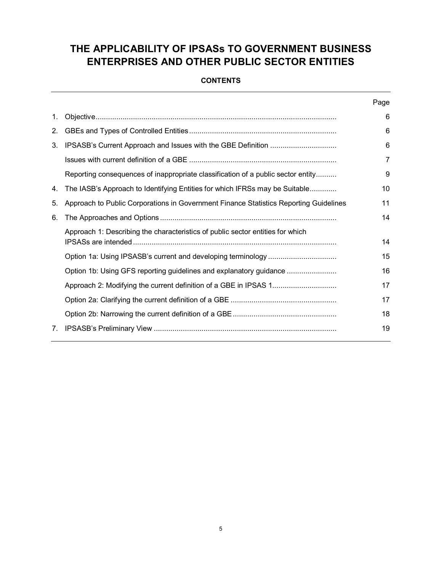# **THE APPLICABILITY OF IPSASs TO GOVERNMENT BUSINESS ENTERPRISES AND OTHER PUBLIC SECTOR ENTITIES**

## **CONTENTS**

|                                                                                       | Page |
|---------------------------------------------------------------------------------------|------|
|                                                                                       | 6    |
|                                                                                       | 6    |
|                                                                                       | 6    |
|                                                                                       | 7    |
| Reporting consequences of inappropriate classification of a public sector entity      | 9    |
| The IASB's Approach to Identifying Entities for which IFRSs may be Suitable           | 10   |
| Approach to Public Corporations in Government Finance Statistics Reporting Guidelines | 11   |
|                                                                                       | 14   |
| Approach 1: Describing the characteristics of public sector entities for which        | 14   |
|                                                                                       | 15   |
| Option 1b: Using GFS reporting guidelines and explanatory guidance                    | 16   |
|                                                                                       | 17   |
|                                                                                       | 17   |
|                                                                                       | 18   |
|                                                                                       | 19   |
|                                                                                       |      |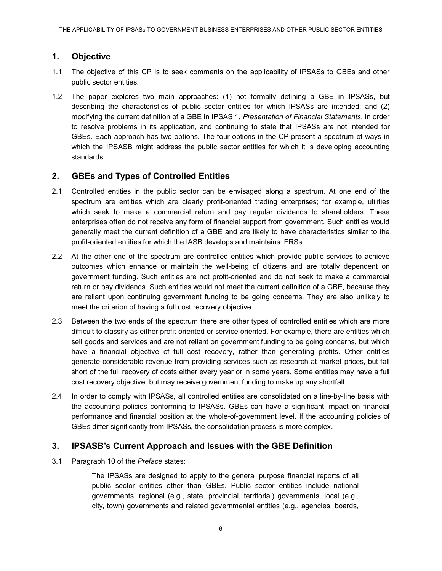## <span id="page-5-0"></span>**1. Objective**

- 1.1 The objective of this CP is to seek comments on the applicability of IPSASs to GBEs and other public sector entities.
- 1.2 The paper explores two main approaches: (1) not formally defining a GBE in IPSASs, but describing the characteristics of public sector entities for which IPSASs are intended; and (2) modifying the current definition of a GBE in IPSAS 1, *Presentation of Financial Statements,* in order to resolve problems in its application, and continuing to state that IPSASs are not intended for GBEs. Each approach has two options. The four options in the CP present a spectrum of ways in which the IPSASB might address the public sector entities for which it is developing accounting standards.

## <span id="page-5-1"></span>**2. GBEs and Types of Controlled Entities**

- 2.1 Controlled entities in the public sector can be envisaged along a spectrum. At one end of the spectrum are entities which are clearly profit-oriented trading enterprises; for example, utilities which seek to make a commercial return and pay regular dividends to shareholders. These enterprises often do not receive any form of financial support from government. Such entities would generally meet the current definition of a GBE and are likely to have characteristics similar to the profit-oriented entities for which the IASB develops and maintains IFRSs.
- 2.2 At the other end of the spectrum are controlled entities which provide public services to achieve outcomes which enhance or maintain the well-being of citizens and are totally dependent on government funding. Such entities are not profit-oriented and do not seek to make a commercial return or pay dividends. Such entities would not meet the current definition of a GBE, because they are reliant upon continuing government funding to be going concerns. They are also unlikely to meet the criterion of having a full cost recovery objective.
- 2.3 Between the two ends of the spectrum there are other types of controlled entities which are more difficult to classify as either profit-oriented or service-oriented. For example, there are entities which sell goods and services and are not reliant on government funding to be going concerns, but which have a financial objective of full cost recovery, rather than generating profits. Other entities generate considerable revenue from providing services such as research at market prices, but fall short of the full recovery of costs either every year or in some years. Some entities may have a full cost recovery objective, but may receive government funding to make up any shortfall.
- 2.4 In order to comply with IPSASs, all controlled entities are consolidated on a line-by-line basis with the accounting policies conforming to IPSASs. GBEs can have a significant impact on financial performance and financial position at the whole-of-government level. If the accounting policies of GBEs differ significantly from IPSASs, the consolidation process is more complex.

## <span id="page-5-2"></span>**3. IPSASB's Current Approach and Issues with the GBE Definition**

3.1 Paragraph 10 of the *Preface* states:

The IPSASs are designed to apply to the general purpose financial reports of all public sector entities other than GBEs. Public sector entities include national governments, regional (e.g., state, provincial, territorial) governments, local (e.g., city, town) governments and related governmental entities (e.g., agencies, boards,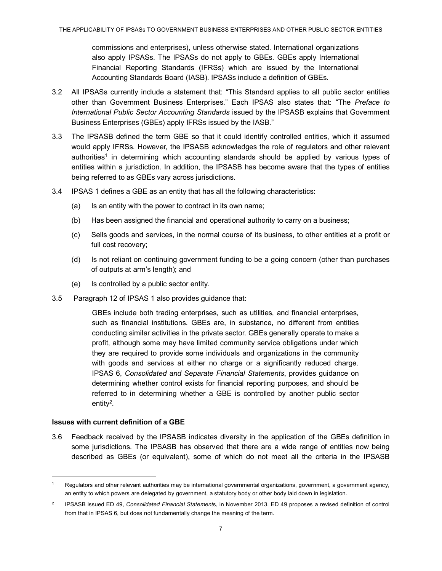commissions and enterprises), unless otherwise stated. International organizations also apply IPSASs. The IPSASs do not apply to GBEs. GBEs apply International Financial Reporting Standards (IFRSs) which are issued by the International Accounting Standards Board (IASB). IPSASs include a definition of GBEs.

- 3.2 All IPSASs currently include a statement that: "This Standard applies to all public sector entities other than Government Business Enterprises." Each IPSAS also states that: "The *Preface to International Public Sector Accounting Standards* issued by the IPSASB explains that Government Business Enterprises (GBEs) apply IFRSs issued by the IASB."
- 3.3 The IPSASB defined the term GBE so that it could identify controlled entities, which it assumed would apply IFRSs. However, the IPSASB acknowledges the role of regulators and other relevant [authorities](#page-6-1)<sup>1</sup> in determining which accounting standards should be applied by various types of entities within a jurisdiction. In addition, the IPSASB has become aware that the types of entities being referred to as GBEs vary across jurisdictions.
- 3.4 IPSAS 1 defines a GBE as an entity that has all the following characteristics:
	- (a) Is an entity with the power to contract in its own name;
	- (b) Has been assigned the financial and operational authority to carry on a business;
	- (c) Sells goods and services, in the normal course of its business, to other entities at a profit or full cost recovery;
	- (d) Is not reliant on continuing government funding to be a going concern (other than purchases of outputs at arm's length); and
	- (e) Is controlled by a public sector entity.
- 3.5 Paragraph 12 of IPSAS 1 also provides guidance that:

GBEs include both trading enterprises, such as utilities, and financial enterprises, such as financial institutions. GBEs are, in substance, no different from entities conducting similar activities in the private sector. GBEs generally operate to make a profit, although some may have limited community service obligations under which they are required to provide some individuals and organizations in the community with goods and services at either no charge or a significantly reduced charge. IPSAS 6, *Consolidated and Separate Financial Statements*, provides guidance on determining whether control exists for financial reporting purposes, and should be referred to in determining whether a GBE is controlled by another public sector [entity](#page-6-2)*<sup>2</sup>* .

#### <span id="page-6-0"></span>**Issues with current definition of a GBE**

-

3.6 Feedback received by the IPSASB indicates diversity in the application of the GBEs definition in some jurisdictions. The IPSASB has observed that there are a wide range of entities now being described as GBEs (or equivalent), some of which do not meet all the criteria in the IPSASB

<span id="page-6-1"></span>Regulators and other relevant authorities may be international governmental organizations, government, a government agency, an entity to which powers are delegated by government, a statutory body or other body laid down in legislation.

<span id="page-6-2"></span><sup>2</sup> IPSASB issued ED 49, *Consolidated Financial Statement*s, in November 2013. ED 49 proposes a revised definition of control from that in IPSAS 6, but does not fundamentally change the meaning of the term.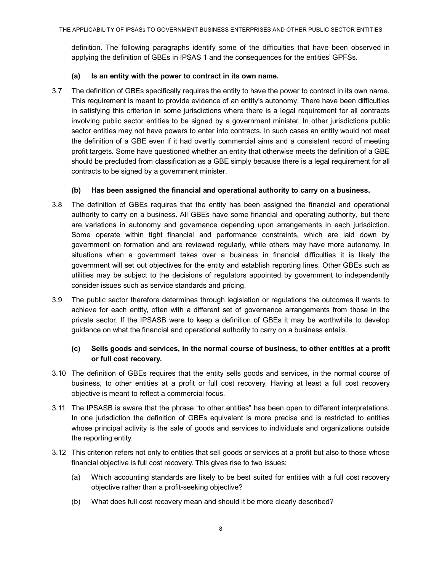definition. The following paragraphs identify some of the difficulties that have been observed in applying the definition of GBEs in IPSAS 1 and the consequences for the entities' GPFSs.

#### **(a) Is an entity with the power to contract in its own name.**

3.7 The definition of GBEs specifically requires the entity to have the power to contract in its own name. This requirement is meant to provide evidence of an entity's autonomy. There have been difficulties in satisfying this criterion in some jurisdictions where there is a legal requirement for all contracts involving public sector entities to be signed by a government minister. In other jurisdictions public sector entities may not have powers to enter into contracts. In such cases an entity would not meet the definition of a GBE even if it had overtly commercial aims and a consistent record of meeting profit targets. Some have questioned whether an entity that otherwise meets the definition of a GBE should be precluded from classification as a GBE simply because there is a legal requirement for all contracts to be signed by a government minister.

### **(b) Has been assigned the financial and operational authority to carry on a business.**

- 3.8 The definition of GBEs requires that the entity has been assigned the financial and operational authority to carry on a business. All GBEs have some financial and operating authority, but there are variations in autonomy and governance depending upon arrangements in each jurisdiction. Some operate within tight financial and performance constraints, which are laid down by government on formation and are reviewed regularly, while others may have more autonomy. In situations when a government takes over a business in financial difficulties it is likely the government will set out objectives for the entity and establish reporting lines. Other GBEs such as utilities may be subject to the decisions of regulators appointed by government to independently consider issues such as service standards and pricing.
- 3.9 The public sector therefore determines through legislation or regulations the outcomes it wants to achieve for each entity, often with a different set of governance arrangements from those in the private sector. If the IPSASB were to keep a definition of GBEs it may be worthwhile to develop guidance on what the financial and operational authority to carry on a business entails.

## **(c) Sells goods and services, in the normal course of business, to other entities at a profit or full cost recovery.**

- 3.10 The definition of GBEs requires that the entity sells goods and services, in the normal course of business, to other entities at a profit or full cost recovery. Having at least a full cost recovery objective is meant to reflect a commercial focus.
- 3.11 The IPSASB is aware that the phrase "to other entities" has been open to different interpretations. In one jurisdiction the definition of GBEs equivalent is more precise and is restricted to entities whose principal activity is the sale of goods and services to individuals and organizations outside the reporting entity.
- 3.12 This criterion refers not only to entities that sell goods or services at a profit but also to those whose financial objective is full cost recovery. This gives rise to two issues:
	- (a) Which accounting standards are likely to be best suited for entities with a full cost recovery objective rather than a profit-seeking objective?
	- (b) What does full cost recovery mean and should it be more clearly described?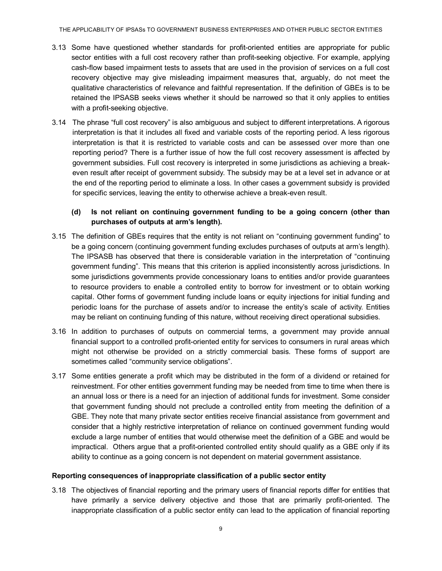- 3.13 Some have questioned whether standards for profit-oriented entities are appropriate for public sector entities with a full cost recovery rather than profit-seeking objective. For example, applying cash-flow based impairment tests to assets that are used in the provision of services on a full cost recovery objective may give misleading impairment measures that, arguably, do not meet the qualitative characteristics of relevance and faithful representation. If the definition of GBEs is to be retained the IPSASB seeks views whether it should be narrowed so that it only applies to entities with a profit-seeking objective.
- 3.14 The phrase "full cost recovery" is also ambiguous and subject to different interpretations. A rigorous interpretation is that it includes all fixed and variable costs of the reporting period. A less rigorous interpretation is that it is restricted to variable costs and can be assessed over more than one reporting period? There is a further issue of how the full cost recovery assessment is affected by government subsidies. Full cost recovery is interpreted in some jurisdictions as achieving a breakeven result after receipt of government subsidy. The subsidy may be at a level set in advance or at the end of the reporting period to eliminate a loss. In other cases a government subsidy is provided for specific services, leaving the entity to otherwise achieve a break-even result.

## **(d) Is not reliant on continuing government funding to be a going concern (other than purchases of outputs at arm's length).**

- 3.15 The definition of GBEs requires that the entity is not reliant on "continuing government funding" to be a going concern (continuing government funding excludes purchases of outputs at arm's length). The IPSASB has observed that there is considerable variation in the interpretation of "continuing government funding". This means that this criterion is applied inconsistently across jurisdictions. In some jurisdictions governments provide concessionary loans to entities and/or provide guarantees to resource providers to enable a controlled entity to borrow for investment or to obtain working capital. Other forms of government funding include loans or equity injections for initial funding and periodic loans for the purchase of assets and/or to increase the entity's scale of activity. Entities may be reliant on continuing funding of this nature, without receiving direct operational subsidies.
- 3.16 In addition to purchases of outputs on commercial terms, a government may provide annual financial support to a controlled profit-oriented entity for services to consumers in rural areas which might not otherwise be provided on a strictly commercial basis. These forms of support are sometimes called "community service obligations".
- 3.17 Some entities generate a profit which may be distributed in the form of a dividend or retained for reinvestment. For other entities government funding may be needed from time to time when there is an annual loss or there is a need for an injection of additional funds for investment. Some consider that government funding should not preclude a controlled entity from meeting the definition of a GBE. They note that many private sector entities receive financial assistance from government and consider that a highly restrictive interpretation of reliance on continued government funding would exclude a large number of entities that would otherwise meet the definition of a GBE and would be impractical. Others argue that a profit-oriented controlled entity should qualify as a GBE only if its ability to continue as a going concern is not dependent on material government assistance.

#### <span id="page-8-0"></span>**Reporting consequences of inappropriate classification of a public sector entity**

3.18 The objectives of financial reporting and the primary users of financial reports differ for entities that have primarily a service delivery objective and those that are primarily profit-oriented. The inappropriate classification of a public sector entity can lead to the application of financial reporting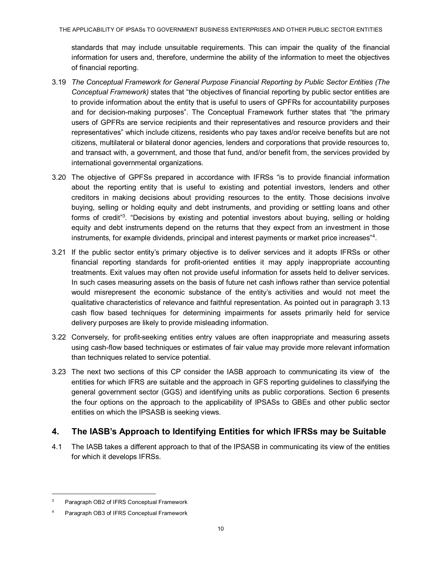standards that may include unsuitable requirements. This can impair the quality of the financial information for users and, therefore, undermine the ability of the information to meet the objectives of financial reporting.

- 3.19 *The Conceptual Framework for General Purpose Financial Reporting by Public Sector Entities (The Conceptual Framework)* states that "the objectives of financial reporting by public sector entities are to provide information about the entity that is useful to users of GPFRs for accountability purposes and for decision-making purposes". The Conceptual Framework further states that "the primary users of GPFRs are service recipients and their representatives and resource providers and their representatives" which include citizens, residents who pay taxes and/or receive benefits but are not citizens, multilateral or bilateral donor agencies, lenders and corporations that provide resources to, and transact with, a government, and those that fund, and/or benefit from, the services provided by international governmental organizations.
- 3.20 The objective of GPFSs prepared in accordance with IFRSs "is to provide financial information about the reporting entity that is useful to existing and potential investors, lenders and other creditors in making decisions about providing resources to the entity. Those decisions involve buying, selling or holding equity and debt instruments, and providing or settling loans and other forms of credi[t"](#page-9-1)<sup>3</sup>. "Decisions by existing and potential investors about buying, selling or holding equity and debt instruments depend on the returns that they expect from an investment in those instruments, for example dividends, principal and interest payments or market price increases["](#page-9-2)<sup>4</sup>.
- 3.21 If the public sector entity's primary objective is to deliver services and it adopts IFRSs or other financial reporting standards for profit-oriented entities it may apply inappropriate accounting treatments. Exit values may often not provide useful information for assets held to deliver services. In such cases measuring assets on the basis of future net cash inflows rather than service potential would misrepresent the economic substance of the entity's activities and would not meet the qualitative characteristics of relevance and faithful representation. As pointed out in paragraph 3.13 cash flow based techniques for determining impairments for assets primarily held for service delivery purposes are likely to provide misleading information.
- 3.22 Conversely, for profit-seeking entities entry values are often inappropriate and measuring assets using cash-flow based techniques or estimates of fair value may provide more relevant information than techniques related to service potential.
- 3.23 The next two sections of this CP consider the IASB approach to communicating its view of the entities for which IFRS are suitable and the approach in GFS reporting guidelines to classifying the general government sector (GGS) and identifying units as public corporations. Section 6 presents the four options on the approach to the applicability of IPSASs to GBEs and other public sector entities on which the IPSASB is seeking views.

## <span id="page-9-0"></span>**4. The IASB's Approach to Identifying Entities for which IFRSs may be Suitable**

4.1 The IASB takes a different approach to that of the IPSASB in communicating its view of the entities for which it develops IFRSs.

<span id="page-9-1"></span><sup>3</sup> Paragraph OB2 of IFRS Conceptual Framework

<span id="page-9-2"></span><sup>4</sup> Paragraph OB3 of IFRS Conceptual Framework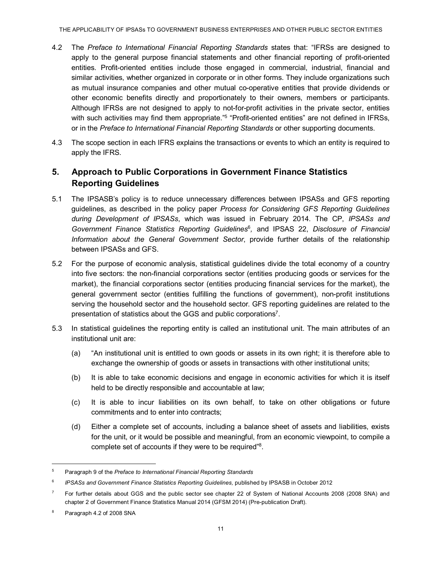- 4.2 The *Preface to International Financial Reporting Standards* states that: "IFRSs are designed to apply to the general purpose financial statements and other financial reporting of profit-oriented entities. Profit-oriented entities include those engaged in commercial, industrial, financial and similar activities, whether organized in corporate or in other forms. They include organizations such as mutual insurance companies and other mutual co-operative entities that provide dividends or other economic benefits directly and proportionately to their owners, members or participants. Although IFRSs are not designed to apply to not-for-profit activities in the private sector, entities with such activities may find them [appropriate."](#page-10-1)<sup>5</sup> "Profit-oriented entities" are not defined in IFRSs, or in the *Preface to International Financial Reporting Standards* or other supporting documents.
- 4.3 The scope section in each IFRS explains the transactions or events to which an entity is required to apply the IFRS.

# <span id="page-10-0"></span>**5. Approach to Public Corporations in Government Finance Statistics Reporting Guidelines**

- 5.1 The IPSASB's policy is to reduce unnecessary differences between IPSASs and GFS reporting guidelines, as described in the policy paper *Process for Considering GFS Reporting Guidelines during Development of IPSASs*, which was issued in February 2014. The CP, *IPSASs and*  Government Finance Statistics Reporting [Guidelines](#page-10-2)<sup>6</sup>, and IPSAS 22, Disclosure of Financial *Information about the General Government Sector*, provide further details of the relationship between IPSASs and GFS.
- 5.2 For the purpose of economic analysis, statistical guidelines divide the total economy of a country into five sectors: the non-financial corporations sector (entities producing goods or services for the market), the financial corporations sector (entities producing financial services for the market), the general government sector (entities fulfilling the functions of government), non-profit institutions serving the household sector and the household sector. GFS reporting guidelines are related to the presentation of statistics about the GGS and public [corporations](#page-10-3)<sup>7</sup>.
- 5.3 In statistical guidelines the reporting entity is called an institutional unit. The main attributes of an institutional unit are:
	- (a) "An institutional unit is entitled to own goods or assets in its own right; it is therefore able to exchange the ownership of goods or assets in transactions with other institutional units;
	- (b) It is able to take economic decisions and engage in economic activities for which it is itself held to be directly responsible and accountable at law;
	- (c) It is able to incur liabilities on its own behalf, to take on other obligations or future commitments and to enter into contracts;
	- (d) Either a complete set of accounts, including a balance sheet of assets and liabilities, exists for the unit, or it would be possible and meaningful, from an economic viewpoint, to compile a complete set of accounts if they were to be required["](#page-10-4)<sup>8</sup>.

<span id="page-10-1"></span><sup>5</sup> Paragraph 9 of the *Preface to International Financial Reporting Standards*

<span id="page-10-2"></span><sup>6</sup> *IPSASs and Government Finance Statistics Reporting Guidelines,* published by IPSASB in October 2012

<span id="page-10-3"></span> $7$  For further details about GGS and the public sector see chapter 22 of System of National Accounts 2008 (2008 SNA) and chapter 2 of Government Finance Statistics Manual 2014 (GFSM 2014) (Pre-publication Draft).

<span id="page-10-4"></span><sup>8</sup> Paragraph 4.2 of 2008 SNA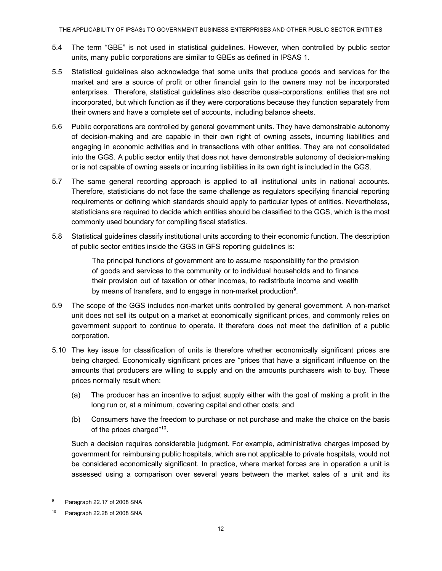THE APPLICABILITY OF IPSASs TO GOVERNMENT BUSINESS ENTERPRISES AND OTHER PUBLIC SECTOR ENTITIES

- 5.4 The term "GBE" is not used in statistical guidelines. However, when controlled by public sector units, many public corporations are similar to GBEs as defined in IPSAS 1.
- 5.5 Statistical guidelines also acknowledge that some units that produce goods and services for the market and are a source of profit or other financial gain to the owners may not be incorporated enterprises. Therefore, statistical guidelines also describe quasi-corporations: entities that are not incorporated, but which function as if they were corporations because they function separately from their owners and have a complete set of accounts, including balance sheets.
- 5.6 Public corporations are controlled by general government units. They have demonstrable autonomy of decision-making and are capable in their own right of owning assets, incurring liabilities and engaging in economic activities and in transactions with other entities. They are not consolidated into the GGS. A public sector entity that does not have demonstrable autonomy of decision-making or is not capable of owning assets or incurring liabilities in its own right is included in the GGS.
- 5.7 The same general recording approach is applied to all institutional units in national accounts. Therefore, statisticians do not face the same challenge as regulators specifying financial reporting requirements or defining which standards should apply to particular types of entities. Nevertheless, statisticians are required to decide which entities should be classified to the GGS, which is the most commonly used boundary for compiling fiscal statistics.
- 5.8 Statistical guidelines classify institutional units according to their economic function. The description of public sector entities inside the GGS in GFS reporting guidelines is:

The principal functions of government are to assume responsibility for the provision of goods and services to the community or to individual households and to finance their provision out of taxation or other incomes, to redistribute income and wealth by means of transfers, and to engage in non-market [production](#page-11-0)<sup>9</sup>.

- 5.9 The scope of the GGS includes non-market units controlled by general government. A non-market unit does not sell its output on a market at economically significant prices, and commonly relies on government support to continue to operate. It therefore does not meet the definition of a public corporation.
- 5.10 The key issue for classification of units is therefore whether economically significant prices are being charged. Economically significant prices are "prices that have a significant influence on the amounts that producers are willing to supply and on the amounts purchasers wish to buy. These prices normally result when:
	- (a) The producer has an incentive to adjust supply either with the goal of making a profit in the long run or, at a minimum, covering capital and other costs; and
	- (b) Consumers have the freedom to purchase or not purchase and make the choice on the basis of the prices charged["](#page-11-1)<sup>10</sup>.

Such a decision requires considerable judgment. For example, administrative charges imposed by government for reimbursing public hospitals, which are not applicable to private hospitals, would not be considered economically significant. In practice, where market forces are in operation a unit is assessed using a comparison over several years between the market sales of a unit and its

<span id="page-11-0"></span>Paragraph 22.17 of 2008 SNA

<span id="page-11-1"></span><sup>10</sup> Paragraph 22.28 of 2008 SNA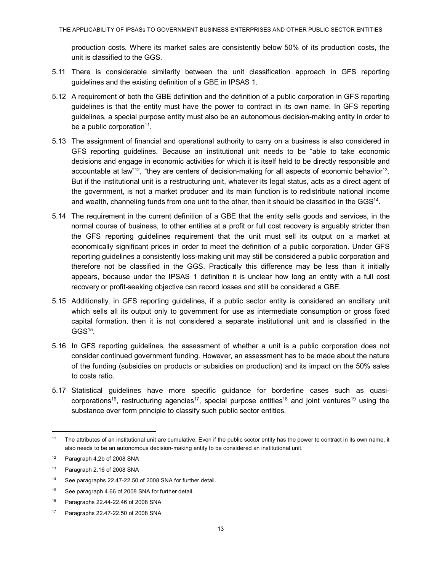production costs. Where its market sales are consistently below 50% of its production costs, the unit is classified to the GGS.

- 5.11 There is considerable similarity between the unit classification approach in GFS reporting guidelines and the existing definition of a GBE in IPSAS 1.
- 5.12 A requirement of both the GBE definition and the definition of a public corporation in GFS reporting guidelines is that the entity must have the power to contract in its own name. In GFS reporting guidelines, a special purpose entity must also be an autonomous decision-making entity in order to be a public [corporation](#page-12-0) $11$ .
- 5.13 The assignment of financial and operational authority to carry on a business is also considered in GFS reporting guidelines. Because an institutional unit needs to be "able to take economic decisions and engage in economic activities for which it is itself held to be directly responsible and accountable at la[w"](#page-12-1)<sup>12</sup>, "they are centers of decision-making for all aspects of economic [behavior](#page-12-2)<sup>13</sup>. But if the institutional unit is a restructuring unit, whatever its legal status, acts as a direct agent of the government, is not a market producer and its main function is to redistribute national income and wealth, channeling funds from one unit to the other, then it should be classified in the [GGS](#page-12-3)<sup>14</sup>.
- 5.14 The requirement in the current definition of a GBE that the entity sells goods and services, in the normal course of business, to other entities at a profit or full cost recovery is arguably stricter than the GFS reporting guidelines requirement that the unit must sell its output on a market at economically significant prices in order to meet the definition of a public corporation. Under GFS reporting guidelines a consistently loss-making unit may still be considered a public corporation and therefore not be classified in the GGS. Practically this difference may be less than it initially appears, because under the IPSAS 1 definition it is unclear how long an entity with a full cost recovery or profit-seeking objective can record losses and still be considered a GBE.
- 5.15 Additionally, in GFS reporting guidelines, if a public sector entity is considered an ancillary unit which sells all its output only to government for use as intermediate consumption or gross fixed capital formation, then it is not considered a separate institutional unit and is classified in the  $GGS^{15}$  $GGS^{15}$ .
- 5.16 In GFS reporting guidelines, the assessment of whether a unit is a public corporation does not consider continued government funding. However, an assessment has to be made about the nature of the funding (subsidies on products or subsidies on production) and its impact on the 50% sales to costs ratio.
- 5.17 Statistical guidelines have more specific guidance for borderline cases such as quasi[corporations](#page-12-5)<sup>16</sup>, restructuring [agencies](#page-12-6)<sup>17</sup>, special purpose [entities](#page-12-5)<sup>18</sup> and joint [ventures](#page-12-6)<sup>19</sup> using the substance over form principle to classify such public sector entities.

l

<span id="page-12-0"></span><sup>&</sup>lt;sup>11</sup> The attributes of an institutional unit are cumulative. Even if the public sector entity has the power to contract in its own name, it also needs to be an autonomous decision-making entity to be considered an institutional unit.

<span id="page-12-1"></span><sup>12</sup> Paragraph 4.2b of 2008 SNA

<span id="page-12-2"></span><sup>13</sup> Paragraph 2.16 of 2008 SNA

<span id="page-12-3"></span><sup>14</sup> See paragraphs 22.47-22.50 of 2008 SNA for further detail.

<span id="page-12-4"></span><sup>15</sup> See paragraph 4.66 of 2008 SNA for further detail.

<span id="page-12-5"></span><sup>16</sup> Paragraphs 22.44-22.46 of 2008 SNA

<span id="page-12-6"></span><sup>17</sup> Paragraphs 22.47-22.50 of 2008 SNA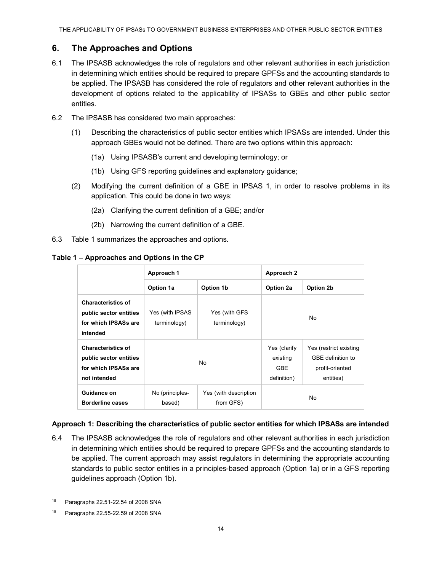# <span id="page-13-0"></span>**6. The Approaches and Options**

- 6.1 The IPSASB acknowledges the role of regulators and other relevant authorities in each jurisdiction in determining which entities should be required to prepare GPFSs and the accounting standards to be applied. The IPSASB has considered the role of regulators and other relevant authorities in the development of options related to the applicability of IPSASs to GBEs and other public sector entities.
- 6.2 The IPSASB has considered two main approaches:
	- (1) Describing the characteristics of public sector entities which IPSASs are intended. Under this approach GBEs would not be defined. There are two options within this approach:
		- (1a) Using IPSASB's current and developing terminology; or
		- (1b) Using GFS reporting guidelines and explanatory guidance;
	- (2) Modifying the current definition of a GBE in IPSAS 1, in order to resolve problems in its application. This could be done in two ways:
		- (2a) Clarifying the current definition of a GBE; and/or
		- (2b) Narrowing the current definition of a GBE.
- 6.3 Table 1 summarizes the approaches and options.

|                                                                                             | Approach 1                      |                                    | Approach 2                                            |                                                                             |
|---------------------------------------------------------------------------------------------|---------------------------------|------------------------------------|-------------------------------------------------------|-----------------------------------------------------------------------------|
|                                                                                             | Option 1a                       | Option 1b                          | Option 2a                                             | Option 2b                                                                   |
| <b>Characteristics of</b><br>public sector entities<br>for which IPSASs are<br>intended     | Yes (with IPSAS<br>terminology) | Yes (with GFS<br>terminology)      | No.                                                   |                                                                             |
| <b>Characteristics of</b><br>public sector entities<br>for which IPSASs are<br>not intended | N <sub>0</sub>                  |                                    | Yes (clarify<br>existing<br><b>GBE</b><br>definition) | Yes (restrict existing<br>GBE definition to<br>profit-oriented<br>entities) |
| Guidance on<br><b>Borderline cases</b>                                                      | No (principles-<br>based)       | Yes (with description<br>from GFS) | No                                                    |                                                                             |

## **Table 1 – Approaches and Options in the CP**

## <span id="page-13-1"></span>**Approach 1: Describing the characteristics of public sector entities for which IPSASs are intended**

6.4 The IPSASB acknowledges the role of regulators and other relevant authorities in each jurisdiction in determining which entities should be required to prepare GPFSs and the accounting standards to be applied. The current approach may assist regulators in determining the appropriate accounting standards to public sector entities in a principles-based approach (Option 1a) or in a GFS reporting guidelines approach (Option 1b).

<sup>18</sup> Paragraphs 22.51-22.54 of 2008 SNA

<sup>19</sup> Paragraphs 22.55-22.59 of 2008 SNA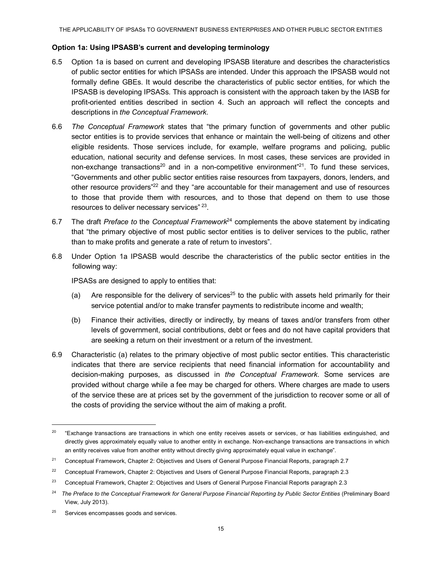### <span id="page-14-0"></span>**Option 1a: Using IPSASB's current and developing terminology**

- 6.5 Option 1a is based on current and developing IPSASB literature and describes the characteristics of public sector entities for which IPSASs are intended. Under this approach the IPSASB would not formally define GBEs. It would describe the characteristics of public sector entities, for which the IPSASB is developing IPSASs. This approach is consistent with the approach taken by the IASB for profit-oriented entities described in section 4. Such an approach will reflect the concepts and descriptions in *the Conceptual Framework.*
- 6.6 *The Conceptual Framework* states that "the primary function of governments and other public sector entities is to provide services that enhance or maintain the well-being of citizens and other eligible residents. Those services include, for example, welfare programs and policing, public education, national security and defense services. In most cases, these services are provided in non-exchange [transactions](#page-14-1)<sup>20</sup> and in a non-competitive environmen[t"](#page-14-2)<sup>21</sup>. To fund these services, "Governments and other public sector entities raise resources from taxpayers, donors, lenders, and other resource provider[s"](#page-14-3)<sup>22</sup> and they "are accountable for their management and use of resources to those that provide them with resources, and to those that depend on them to use those resources to deliver necessary service[s"](#page-14-4) <sup>23</sup>.
- 6.7 The draft *Preface to* the *Conceptual [Framework](#page-14-5)*<sup>24</sup> complements the above statement by indicating that "the primary objective of most public sector entities is to deliver services to the public, rather than to make profits and generate a rate of return to investors".
- 6.8 Under Option 1a IPSASB would describe the characteristics of the public sector entities in the following way:

IPSASs are designed to apply to entities that:

- (a) Are responsible for the delivery of [services](#page-14-6)<sup>25</sup> to the public with assets held primarily for their service potential and/or to make transfer payments to redistribute income and wealth;
- (b) Finance their activities, directly or indirectly, by means of taxes and/or transfers from other levels of government, social contributions, debt or fees and do not have capital providers that are seeking a return on their investment or a return of the investment.
- 6.9 Characteristic (a) relates to the primary objective of most public sector entities. This characteristic indicates that there are service recipients that need financial information for accountability and decision-making purposes, as discussed in *the Conceptual Framework*. Some services are provided without charge while a fee may be charged for others. Where charges are made to users of the service these are at prices set by the government of the jurisdiction to recover some or all of the costs of providing the service without the aim of making a profit.

<span id="page-14-1"></span><sup>&</sup>lt;sup>20</sup> "Exchange transactions are transactions in which one entity receives assets or services, or has liabilities extinguished, and directly gives approximately equally value to another entity in exchange. Non-exchange transactions are transactions in which an entity receives value from another entity without directly giving approximately equal value in exchange".

<span id="page-14-2"></span><sup>&</sup>lt;sup>21</sup> Conceptual Framework, Chapter 2: Objectives and Users of General Purpose Financial Reports, paragraph 2.7

<span id="page-14-3"></span><sup>&</sup>lt;sup>22</sup> Conceptual Framework, Chapter 2: Objectives and Users of General Purpose Financial Reports, paragraph 2.3

<span id="page-14-4"></span><sup>&</sup>lt;sup>23</sup> Conceptual Framework, Chapter 2: Objectives and Users of General Purpose Financial Reports paragraph 2.3

<span id="page-14-5"></span><sup>&</sup>lt;sup>24</sup> The Preface to the Conceptual Framework for General Purpose Financial Reporting by Public Sector Entities (Preliminary Board View, July 2013).

<span id="page-14-6"></span><sup>&</sup>lt;sup>25</sup> Services encompasses goods and services.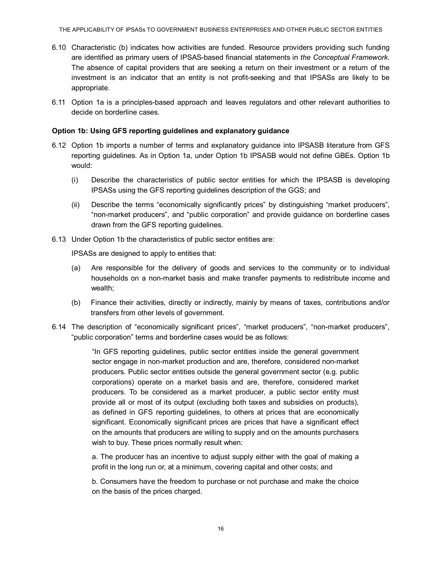- 6.10 Characteristic (b) indicates how activities are funded. Resource providers providing such funding are identified as primary users of IPSAS-based financial statements in *the Conceptual Framework*. The absence of capital providers that are seeking a return on their investment or a return of the investment is an indicator that an entity is not profit-seeking and that IPSASs are likely to be appropriate.
- 6.11 Option 1a is a principles-based approach and leaves regulators and other relevant authorities to decide on borderline cases.

## <span id="page-15-0"></span>**Option 1b: Using GFS reporting guidelines and explanatory guidance**

- 6.12 Option 1b imports a number of terms and explanatory guidance into IPSASB literature from GFS reporting guidelines. As in Option 1a, under Option 1b IPSASB would not define GBEs. Option 1b would:
	- (i) Describe the characteristics of public sector entities for which the IPSASB is developing IPSASs using the GFS reporting guidelines description of the GGS; and
	- (ii) Describe the terms "economically significantly prices" by distinguishing "market producers", "non-market producers", and "public corporation" and provide guidance on borderline cases drawn from the GFS reporting guidelines.
- 6.13 Under Option 1b the characteristics of public sector entities are:

IPSASs are designed to apply to entities that:

- (a) Are responsible for the delivery of goods and services to the community or to individual households on a non-market basis and make transfer payments to redistribute income and wealth;
- (b) Finance their activities, directly or indirectly, mainly by means of taxes, contributions and/or transfers from other levels of government.
- 6.14 The description of "economically significant prices", "market producers", "non-market producers", "public corporation" terms and borderline cases would be as follows:

"In GFS reporting guidelines, public sector entities inside the general government sector engage in non-market production and are, therefore, considered non-market producers. Public sector entities outside the general government sector (e.g. public corporations) operate on a market basis and are, therefore, considered market producers. To be considered as a market producer, a public sector entity must provide all or most of its output (excluding both taxes and subsidies on products), as defined in GFS reporting guidelines, to others at prices that are economically significant. Economically significant prices are prices that have a significant effect on the amounts that producers are willing to supply and on the amounts purchasers wish to buy. These prices normally result when:

a. The producer has an incentive to adjust supply either with the goal of making a profit in the long run or, at a minimum, covering capital and other costs; and

b. Consumers have the freedom to purchase or not purchase and make the choice on the basis of the prices charged.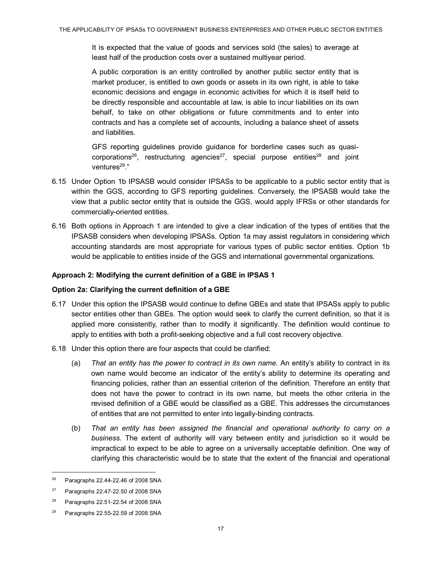It is expected that the value of goods and services sold (the sales) to average at least half of the production costs over a sustained multiyear period.

A public corporation is an entity controlled by another public sector entity that is market producer, is entitled to own goods or assets in its own right, is able to take economic decisions and engage in economic activities for which it is itself held to be directly responsible and accountable at law, is able to incur liabilities on its own behalf, to take on other obligations or future commitments and to enter into contracts and has a complete set of accounts, including a balance sheet of assets and liabilities.

GFS reporting guidelines provide guidance for borderline cases such as quasi[corporations](#page-16-2)<sup>26</sup>, restructuring [agencies](#page-16-3)<sup>27</sup>, special purpose [entities](#page-16-4)<sup>28</sup> and joint [ventures](#page-16-5)<sup>29</sup>."

- 6.15 Under Option 1b IPSASB would consider IPSASs to be applicable to a public sector entity that is within the GGS, according to GFS reporting guidelines. Conversely, the IPSASB would take the view that a public sector entity that is outside the GGS, would apply IFRSs or other standards for commercially-oriented entities.
- 6.16 Both options in Approach 1 are intended to give a clear indication of the types of entities that the IPSASB considers when developing IPSASs. Option 1a may assist regulators in considering which accounting standards are most appropriate for various types of public sector entities. Option 1b would be applicable to entities inside of the GGS and international governmental organizations.

## <span id="page-16-0"></span>**Approach 2: Modifying the current definition of a GBE in IPSAS 1**

#### <span id="page-16-1"></span>**Option 2a: Clarifying the current definition of a GBE**

- 6.17 Under this option the IPSASB would continue to define GBEs and state that IPSASs apply to public sector entities other than GBEs. The option would seek to clarify the current definition, so that it is applied more consistently, rather than to modify it significantly. The definition would continue to apply to entities with both a profit-seeking objective and a full cost recovery objective.
- 6.18 Under this option there are four aspects that could be clarified:
	- (a) *That an entity has the power to contract in its own name*. An entity's ability to contract in its own name would become an indicator of the entity's ability to determine its operating and financing policies, rather than an essential criterion of the definition. Therefore an entity that does not have the power to contract in its own name, but meets the other criteria in the revised definition of a GBE would be classified as a GBE. This addresses the circumstances of entities that are not permitted to enter into legally-binding contracts.
	- (b) *That an entity has been assigned the financial and operational authority to carry on a business.* The extent of authority will vary between entity and jurisdiction so it would be impractical to expect to be able to agree on a universally acceptable definition. One way of clarifying this characteristic would be to state that the extent of the financial and operational

<span id="page-16-2"></span><sup>26</sup> Paragraphs 22.44-22.46 of 2008 SNA

<span id="page-16-3"></span><sup>27</sup> Paragraphs 22.47-22.50 of 2008 SNA

<span id="page-16-4"></span><sup>28</sup> Paragraphs 22.51-22.54 of 2008 SNA

<span id="page-16-5"></span><sup>29</sup> Paragraphs 22.55-22.59 of 2008 SNA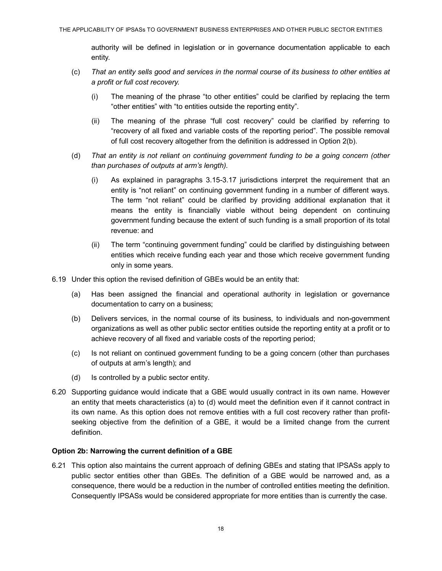authority will be defined in legislation or in governance documentation applicable to each entity.

- (c) *That an entity sells good and services in the normal course of its business to other entities at a profit or full cost recovery.*
	- (i) The meaning of the phrase "to other entities" could be clarified by replacing the term "other entities" with "to entities outside the reporting entity".
	- (ii) The meaning of the phrase "full cost recovery" could be clarified by referring to "recovery of all fixed and variable costs of the reporting period". The possible removal of full cost recovery altogether from the definition is addressed in Option 2(b).
- (d) *That an entity is not reliant on continuing government funding to be a going concern (other than purchases of outputs at arm's length).*
	- (i) As explained in paragraphs 3.15-3.17 jurisdictions interpret the requirement that an entity is "not reliant" on continuing government funding in a number of different ways. The term "not reliant" could be clarified by providing additional explanation that it means the entity is financially viable without being dependent on continuing government funding because the extent of such funding is a small proportion of its total revenue: and
	- (ii) The term "continuing government funding" could be clarified by distinguishing between entities which receive funding each year and those which receive government funding only in some years.
- 6.19 Under this option the revised definition of GBEs would be an entity that:
	- (a) Has been assigned the financial and operational authority in legislation or governance documentation to carry on a business;
	- (b) Delivers services, in the normal course of its business, to individuals and non-government organizations as well as other public sector entities outside the reporting entity at a profit or to achieve recovery of all fixed and variable costs of the reporting period;
	- (c) Is not reliant on continued government funding to be a going concern (other than purchases of outputs at arm's length); and
	- (d) Is controlled by a public sector entity.
- 6.20 Supporting guidance would indicate that a GBE would usually contract in its own name. However an entity that meets characteristics (a) to (d) would meet the definition even if it cannot contract in its own name. As this option does not remove entities with a full cost recovery rather than profitseeking objective from the definition of a GBE, it would be a limited change from the current definition.

#### <span id="page-17-0"></span>**Option 2b: Narrowing the current definition of a GBE**

6.21 This option also maintains the current approach of defining GBEs and stating that IPSASs apply to public sector entities other than GBEs. The definition of a GBE would be narrowed and, as a consequence, there would be a reduction in the number of controlled entities meeting the definition. Consequently IPSASs would be considered appropriate for more entities than is currently the case.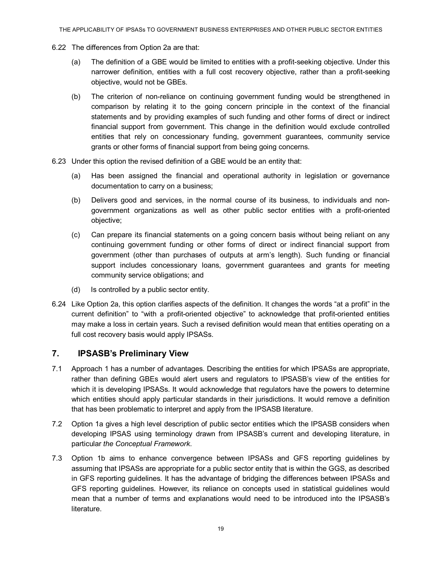- 6.22 The differences from Option 2a are that:
	- (a) The definition of a GBE would be limited to entities with a profit-seeking objective. Under this narrower definition, entities with a full cost recovery objective, rather than a profit-seeking objective, would not be GBEs.
	- (b) The criterion of non-reliance on continuing government funding would be strengthened in comparison by relating it to the going concern principle in the context of the financial statements and by providing examples of such funding and other forms of direct or indirect financial support from government. This change in the definition would exclude controlled entities that rely on concessionary funding, government guarantees, community service grants or other forms of financial support from being going concerns.
- 6.23 Under this option the revised definition of a GBE would be an entity that:
	- (a) Has been assigned the financial and operational authority in legislation or governance documentation to carry on a business;
	- (b) Delivers good and services, in the normal course of its business, to individuals and nongovernment organizations as well as other public sector entities with a profit-oriented objective;
	- (c) Can prepare its financial statements on a going concern basis without being reliant on any continuing government funding or other forms of direct or indirect financial support from government (other than purchases of outputs at arm's length). Such funding or financial support includes concessionary loans, government guarantees and grants for meeting community service obligations; and
	- (d) Is controlled by a public sector entity.
- 6.24 Like Option 2a, this option clarifies aspects of the definition. It changes the words "at a profit" in the current definition" to "with a profit-oriented objective" to acknowledge that profit-oriented entities may make a loss in certain years. Such a revised definition would mean that entities operating on a full cost recovery basis would apply IPSASs.

## <span id="page-18-0"></span>**7. IPSASB's Preliminary View**

- 7.1 Approach 1 has a number of advantages. Describing the entities for which IPSASs are appropriate, rather than defining GBEs would alert users and regulators to IPSASB's view of the entities for which it is developing IPSASs. It would acknowledge that regulators have the powers to determine which entities should apply particular standards in their jurisdictions. It would remove a definition that has been problematic to interpret and apply from the IPSASB literature.
- 7.2 Option 1a gives a high level description of public sector entities which the IPSASB considers when developing IPSAS using terminology drawn from IPSASB's current and developing literature, in particular *the Conceptual Framework*.
- 7.3 Option 1b aims to enhance convergence between IPSASs and GFS reporting guidelines by assuming that IPSASs are appropriate for a public sector entity that is within the GGS, as described in GFS reporting guidelines. It has the advantage of bridging the differences between IPSASs and GFS reporting guidelines. However, its reliance on concepts used in statistical guidelines would mean that a number of terms and explanations would need to be introduced into the IPSASB's literature.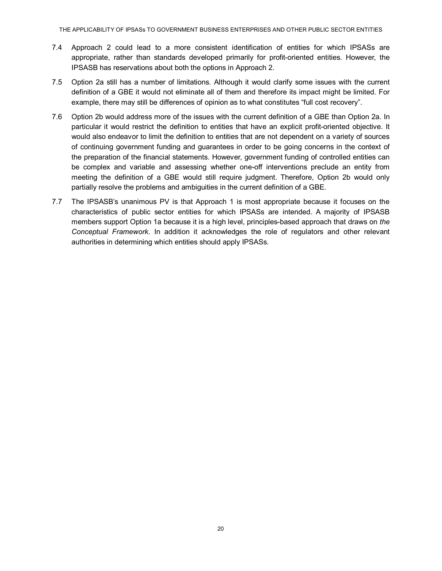THE APPLICABILITY OF IPSASs TO GOVERNMENT BUSINESS ENTERPRISES AND OTHER PUBLIC SECTOR ENTITIES

- 7.4 Approach 2 could lead to a more consistent identification of entities for which IPSASs are appropriate, rather than standards developed primarily for profit-oriented entities. However, the IPSASB has reservations about both the options in Approach 2.
- 7.5 Option 2a still has a number of limitations. Although it would clarify some issues with the current definition of a GBE it would not eliminate all of them and therefore its impact might be limited. For example, there may still be differences of opinion as to what constitutes "full cost recovery".
- 7.6 Option 2b would address more of the issues with the current definition of a GBE than Option 2a. In particular it would restrict the definition to entities that have an explicit profit-oriented objective. It would also endeavor to limit the definition to entities that are not dependent on a variety of sources of continuing government funding and guarantees in order to be going concerns in the context of the preparation of the financial statements. However, government funding of controlled entities can be complex and variable and assessing whether one-off interventions preclude an entity from meeting the definition of a GBE would still require judgment. Therefore, Option 2b would only partially resolve the problems and ambiguities in the current definition of a GBE.
- 7.7 The IPSASB's unanimous PV is that Approach 1 is most appropriate because it focuses on the characteristics of public sector entities for which IPSASs are intended. A majority of IPSASB members support Option 1a because it is a high level, principles-based approach that draws on *the Conceptual Framework*. In addition it acknowledges the role of regulators and other relevant authorities in determining which entities should apply IPSASs.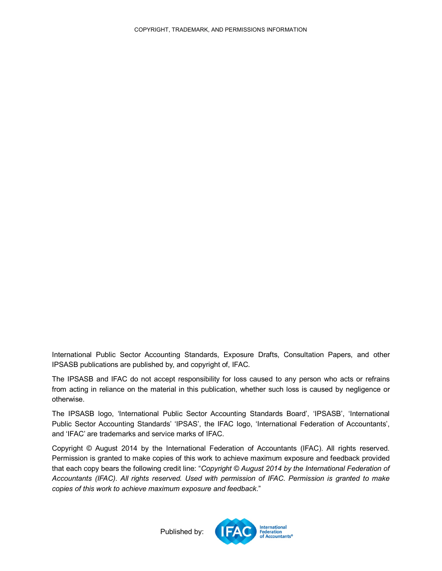International Public Sector Accounting Standards, Exposure Drafts, Consultation Papers, and other IPSASB publications are published by, and copyright of, IFAC.

The IPSASB and IFAC do not accept responsibility for loss caused to any person who acts or refrains from acting in reliance on the material in this publication, whether such loss is caused by negligence or otherwise.

The IPSASB logo, 'International Public Sector Accounting Standards Board', 'IPSASB', 'International Public Sector Accounting Standards' 'IPSAS', the IFAC logo, 'International Federation of Accountants', and 'IFAC' are trademarks and service marks of IFAC.

<span id="page-20-0"></span>Copyright © August 2014 by the International Federation of Accountants (IFAC). All rights reserved. Permission is granted to make copies of this work to achieve maximum exposure and feedback provided that each copy bears the following credit line: "*Copyright © August 2014 by the International Federation of Accountants (IFAC). All rights reserved. Used with permission of IFAC. Permission is granted to make copies of this work to achieve maximum exposure and feedback*."